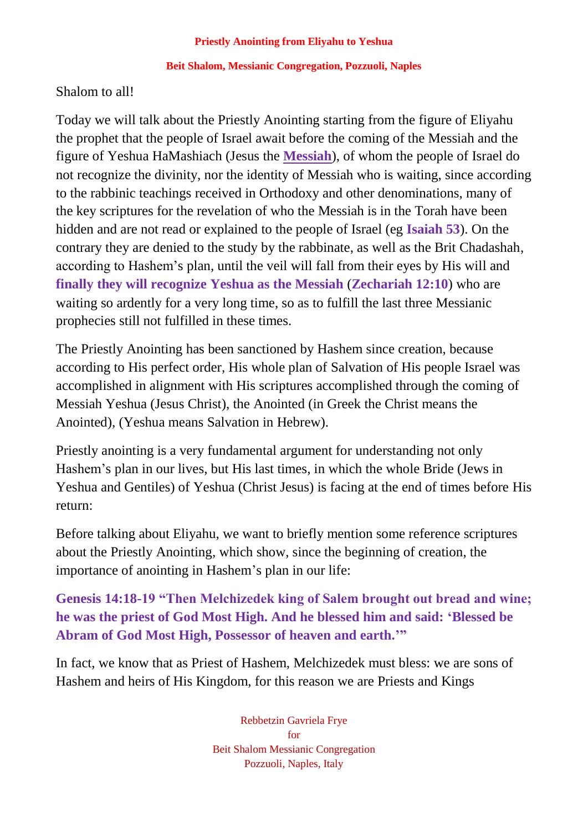#### **Beit Shalom, Messianic Congregation, Pozzuoli, Naples**

## Shalom to all!

Today we will talk about the Priestly Anointing starting from the figure of Eliyahu the prophet that the people of Israel await before the coming of the Messiah and the figure of Yeshua HaMashiach (Jesus the **Messiah**), of whom the people of Israel do not recognize the divinity, nor the identity of Messiah who is waiting, since according to the rabbinic teachings received in Orthodoxy and other denominations, many of the key scriptures for the revelation of who the Messiah is in the Torah have been hidden and are not read or explained to the people of Israel (eg **Isaiah 53**). On the contrary they are denied to the study by the rabbinate, as well as the Brit Chadashah, according to Hashem's plan, until the veil will fall from their eyes by His will and **finally they will recognize Yeshua as the Messiah** (**Zechariah 12:10**) who are waiting so ardently for a very long time, so as to fulfill the last three Messianic prophecies still not fulfilled in these times.

The Priestly Anointing has been sanctioned by Hashem since creation, because according to His perfect order, His whole plan of Salvation of His people Israel was accomplished in alignment with His scriptures accomplished through the coming of Messiah Yeshua (Jesus Christ), the Anointed (in Greek the Christ means the Anointed), (Yeshua means Salvation in Hebrew).

Priestly anointing is a very fundamental argument for understanding not only Hashem's plan in our lives, but His last times, in which the whole Bride (Jews in Yeshua and Gentiles) of Yeshua (Christ Jesus) is facing at the end of times before His return:

Before talking about Eliyahu, we want to briefly mention some reference scriptures about the Priestly Anointing, which show, since the beginning of creation, the importance of anointing in Hashem's plan in our life:

**Genesis 14:18-19 "Then Melchizedek king of Salem brought out bread and wine; he was the priest of God Most High. And he blessed him and said: 'Blessed be Abram of God Most High, Possessor of heaven and earth.'"**

In fact, we know that as Priest of Hashem, Melchizedek must bless: we are sons of Hashem and heirs of His Kingdom, for this reason we are Priests and Kings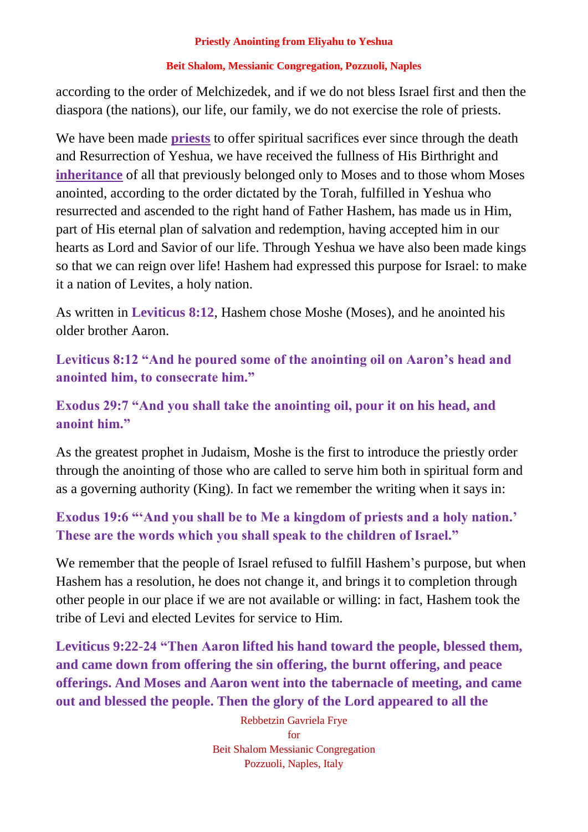## **Beit Shalom, Messianic Congregation, Pozzuoli, Naples**

according to the order of Melchizedek, and if we do not bless Israel first and then the diaspora (the nations), our life, our family, we do not exercise the role of priests.

We have been made **priests** to offer spiritual sacrifices ever since through the death and Resurrection of Yeshua, we have received the fullness of His Birthright and **inheritance** of all that previously belonged only to Moses and to those whom Moses anointed, according to the order dictated by the Torah, fulfilled in Yeshua who resurrected and ascended to the right hand of Father Hashem, has made us in Him, part of His eternal plan of salvation and redemption, having accepted him in our hearts as Lord and Savior of our life. Through Yeshua we have also been made kings so that we can reign over life! Hashem had expressed this purpose for Israel: to make it a nation of Levites, a holy nation.

As written in **Leviticus 8:12**, Hashem chose Moshe (Moses), and he anointed his older brother Aaron.

**Leviticus 8:12 "And he poured some of the anointing oil on Aaron's head and anointed him, to consecrate him."**

# **Exodus 29:7 "And you shall take the anointing oil, pour it on his head, and anoint him."**

As the greatest prophet in Judaism, Moshe is the first to introduce the priestly order through the anointing of those who are called to serve him both in spiritual form and as a governing authority (King). In fact we remember the writing when it says in:

# **Exodus 19:6 "'And you shall be to Me a kingdom of priests and a holy nation.' These are the words which you shall speak to the children of Israel."**

We remember that the people of Israel refused to fulfill Hashem's purpose, but when Hashem has a resolution, he does not change it, and brings it to completion through other people in our place if we are not available or willing: in fact, Hashem took the tribe of Levi and elected Levites for service to Him.

**Leviticus 9:22-24 "Then Aaron lifted his hand toward the people, blessed them, and came down from offering the sin offering, the burnt offering, and peace offerings. And Moses and Aaron went into the tabernacle of meeting, and came out and blessed the people. Then the glory of the Lord appeared to all the**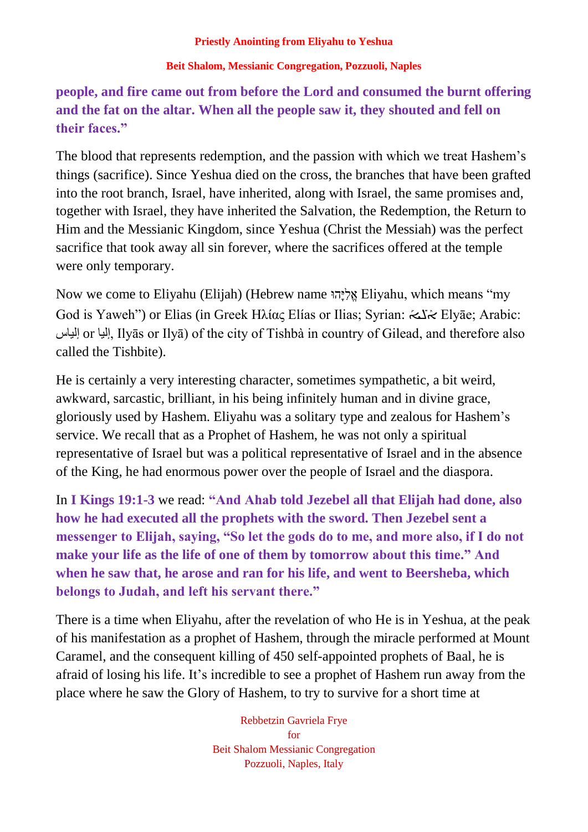## **Beit Shalom, Messianic Congregation, Pozzuoli, Naples**

**people, and fire came out from before the Lord and consumed the burnt offering and the fat on the altar. When all the people saw it, they shouted and fell on their faces."**

The blood that represents redemption, and the passion with which we treat Hashem's things (sacrifice). Since Yeshua died on the cross, the branches that have been grafted into the root branch, Israel, have inherited, along with Israel, the same promises and, together with Israel, they have inherited the Salvation, the Redemption, the Return to Him and the Messianic Kingdom, since Yeshua (Christ the Messiah) was the perfect sacrifice that took away all sin forever, where the sacrifices offered at the temple were only temporary.

Now we come to Eliyahu (Elijah) (Hebrew name וּהָּי ִל ֱא Eliyahu, which means "my God is Yaweh") or Elias (in Greek Ηλίας Elías or Ilias; Syrian: شكة Elyāe; Arabic: į, إلياس or إليا, Ilyās or Ilyā) of the city of Tishbà in country of Gilead, and therefore also called the Tishbite).

He is certainly a very interesting character, sometimes sympathetic, a bit weird, awkward, sarcastic, brilliant, in his being infinitely human and in divine grace, gloriously used by Hashem. Eliyahu was a solitary type and zealous for Hashem's service. We recall that as a Prophet of Hashem, he was not only a spiritual representative of Israel but was a political representative of Israel and in the absence of the King, he had enormous power over the people of Israel and the diaspora.

In **I Kings 19:1-3** we read: **"And Ahab told Jezebel all that Elijah had done, also how he had executed all the prophets with the sword. Then Jezebel sent a messenger to Elijah, saying, "So let the gods do to me, and more also, if I do not make your life as the life of one of them by tomorrow about this time." And when he saw that, he arose and ran for his life, and went to Beersheba, which belongs to Judah, and left his servant there."**

There is a time when Eliyahu, after the revelation of who He is in Yeshua, at the peak of his manifestation as a prophet of Hashem, through the miracle performed at Mount Caramel, and the consequent killing of 450 self-appointed prophets of Baal, he is afraid of losing his life. It's incredible to see a prophet of Hashem run away from the place where he saw the Glory of Hashem, to try to survive for a short time at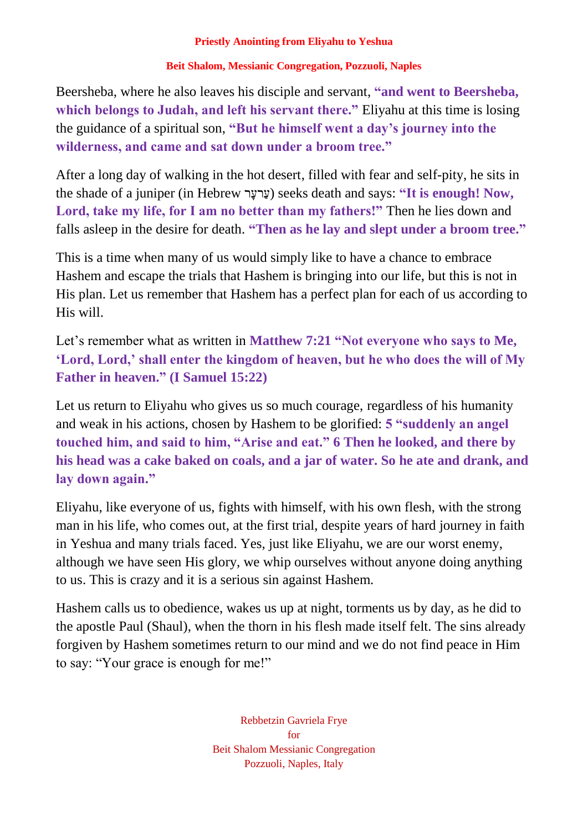## **Beit Shalom, Messianic Congregation, Pozzuoli, Naples**

Beersheba, where he also leaves his disciple and servant, **"and went to Beersheba, which belongs to Judah, and left his servant there."** Eliyahu at this time is losing the guidance of a spiritual son, **"But he himself went a day's journey into the wilderness, and came and sat down under a broom tree."**

After a long day of walking in the hot desert, filled with fear and self-pity, he sits in the shade of a juniper (in Hebrew רָּרעַע (seeks death and says: **"It is enough! Now, Lord, take my life, for I am no better than my fathers!"** Then he lies down and falls asleep in the desire for death. **"Then as he lay and slept under a broom tree."**

This is a time when many of us would simply like to have a chance to embrace Hashem and escape the trials that Hashem is bringing into our life, but this is not in His plan. Let us remember that Hashem has a perfect plan for each of us according to His will.

Let's remember what as written in **Matthew 7:21** "Not everyone who says to Me, **'Lord, Lord,' shall enter the kingdom of heaven, but he who does the will of My Father in heaven." (I Samuel 15:22)**

Let us return to Eliyahu who gives us so much courage, regardless of his humanity and weak in his actions, chosen by Hashem to be glorified: **5 "suddenly an angel touched him, and said to him, "Arise and eat." 6 Then he looked, and there by his head was a cake baked on coals, and a jar of water. So he ate and drank, and lay down again."**

Eliyahu, like everyone of us, fights with himself, with his own flesh, with the strong man in his life, who comes out, at the first trial, despite years of hard journey in faith in Yeshua and many trials faced. Yes, just like Eliyahu, we are our worst enemy, although we have seen His glory, we whip ourselves without anyone doing anything to us. This is crazy and it is a serious sin against Hashem.

Hashem calls us to obedience, wakes us up at night, torments us by day, as he did to the apostle Paul (Shaul), when the thorn in his flesh made itself felt. The sins already forgiven by Hashem sometimes return to our mind and we do not find peace in Him to say: "Your grace is enough for me!"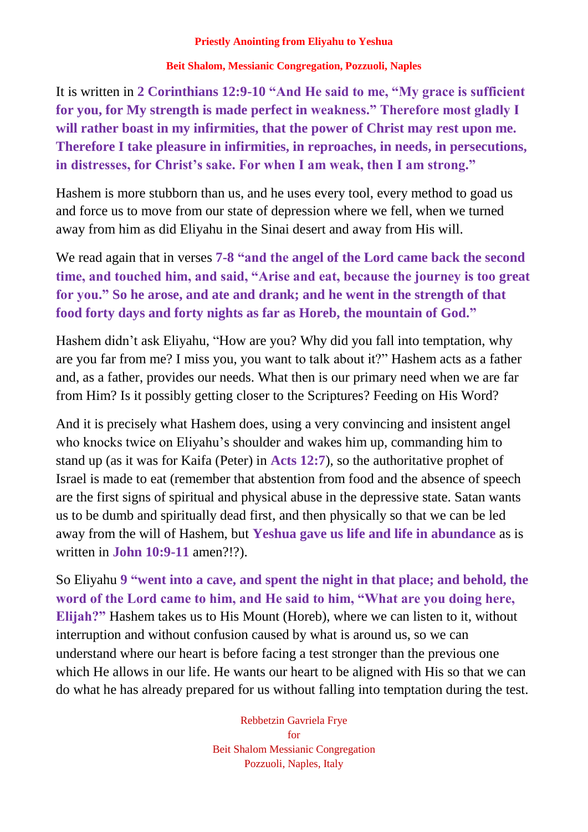## **Beit Shalom, Messianic Congregation, Pozzuoli, Naples**

It is written in **2 Corinthians 12:9-10 "And He said to me, "My grace is sufficient for you, for My strength is made perfect in weakness." Therefore most gladly I will rather boast in my infirmities, that the power of Christ may rest upon me. Therefore I take pleasure in infirmities, in reproaches, in needs, in persecutions, in distresses, for Christ's sake. For when I am weak, then I am strong."**

Hashem is more stubborn than us, and he uses every tool, every method to goad us and force us to move from our state of depression where we fell, when we turned away from him as did Eliyahu in the Sinai desert and away from His will.

We read again that in verses **7-8 "and the angel of the Lord came back the second time, and touched him, and said, "Arise and eat, because the journey is too great for you." So he arose, and ate and drank; and he went in the strength of that food forty days and forty nights as far as Horeb, the mountain of God."**

Hashem didn't ask Eliyahu, "How are you? Why did you fall into temptation, why are you far from me? I miss you, you want to talk about it?" Hashem acts as a father and, as a father, provides our needs. What then is our primary need when we are far from Him? Is it possibly getting closer to the Scriptures? Feeding on His Word?

And it is precisely what Hashem does, using a very convincing and insistent angel who knocks twice on Eliyahu's shoulder and wakes him up, commanding him to stand up (as it was for Kaifa (Peter) in **Acts 12:7**), so the authoritative prophet of Israel is made to eat (remember that abstention from food and the absence of speech are the first signs of spiritual and physical abuse in the depressive state. Satan wants us to be dumb and spiritually dead first, and then physically so that we can be led away from the will of Hashem, but **Yeshua gave us life and life in abundance** as is written in **John 10:9-11** amen?!?).

So Eliyahu **9 "went into a cave, and spent the night in that place; and behold, the word of the Lord came to him, and He said to him, "What are you doing here, Elijah?"** Hashem takes us to His Mount (Horeb), where we can listen to it, without interruption and without confusion caused by what is around us, so we can understand where our heart is before facing a test stronger than the previous one which He allows in our life. He wants our heart to be aligned with His so that we can do what he has already prepared for us without falling into temptation during the test.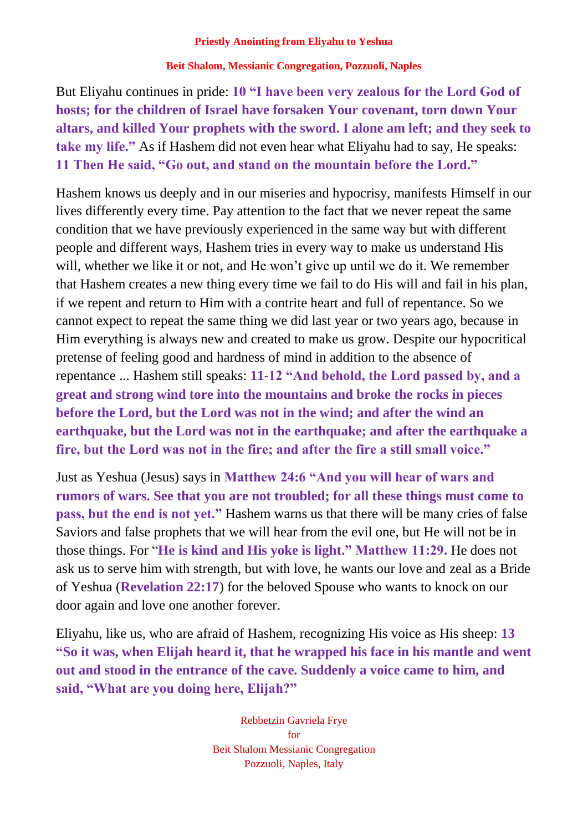**Beit Shalom, Messianic Congregation, Pozzuoli, Naples**

But Eliyahu continues in pride: **10 "I have been very zealous for the Lord God of hosts; for the children of Israel have forsaken Your covenant, torn down Your altars, and killed Your prophets with the sword. I alone am left; and they seek to take my life."** As if Hashem did not even hear what Eliyahu had to say, He speaks: **11 Then He said, "Go out, and stand on the mountain before the Lord."**

Hashem knows us deeply and in our miseries and hypocrisy, manifests Himself in our lives differently every time. Pay attention to the fact that we never repeat the same condition that we have previously experienced in the same way but with different people and different ways, Hashem tries in every way to make us understand His will, whether we like it or not, and He won't give up until we do it. We remember that Hashem creates a new thing every time we fail to do His will and fail in his plan, if we repent and return to Him with a contrite heart and full of repentance. So we cannot expect to repeat the same thing we did last year or two years ago, because in Him everything is always new and created to make us grow. Despite our hypocritical pretense of feeling good and hardness of mind in addition to the absence of repentance ... Hashem still speaks: **11-12 "And behold, the Lord passed by, and a great and strong wind tore into the mountains and broke the rocks in pieces before the Lord, but the Lord was not in the wind; and after the wind an earthquake, but the Lord was not in the earthquake; and after the earthquake a fire, but the Lord was not in the fire; and after the fire a still small voice."**

Just as Yeshua (Jesus) says in **Matthew 24:6 "And you will hear of wars and rumors of wars. See that you are not troubled; for all these things must come to pass, but the end is not yet."** Hashem warns us that there will be many cries of false Saviors and false prophets that we will hear from the evil one, but He will not be in those things. For "**He is kind and His yoke is light." Matthew 11:29.** He does not ask us to serve him with strength, but with love, he wants our love and zeal as a Bride of Yeshua (**Revelation 22:17**) for the beloved Spouse who wants to knock on our door again and love one another forever.

Eliyahu, like us, who are afraid of Hashem, recognizing His voice as His sheep: **13 "So it was, when Elijah heard it, that he wrapped his face in his mantle and went out and stood in the entrance of the cave. Suddenly a voice came to him, and said, "What are you doing here, Elijah?"**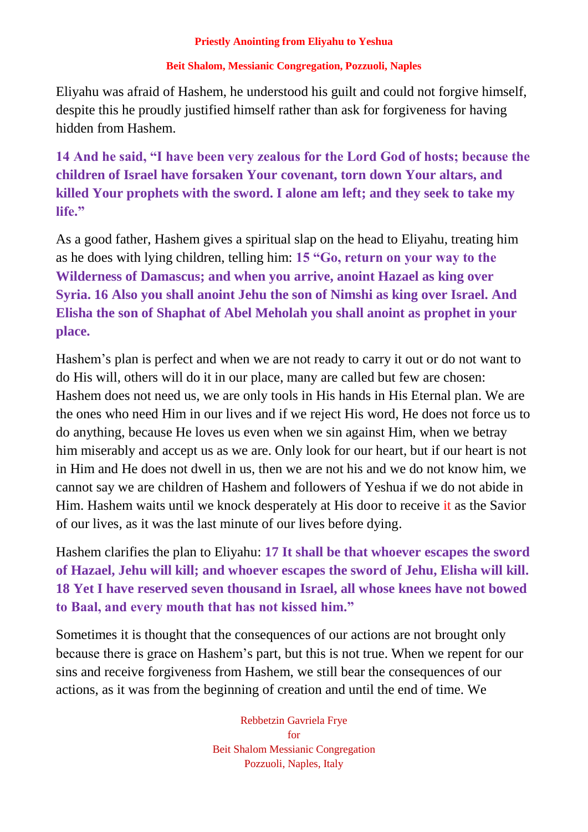## **Beit Shalom, Messianic Congregation, Pozzuoli, Naples**

Eliyahu was afraid of Hashem, he understood his guilt and could not forgive himself, despite this he proudly justified himself rather than ask for forgiveness for having hidden from Hashem.

**14 And he said, "I have been very zealous for the Lord God of hosts; because the children of Israel have forsaken Your covenant, torn down Your altars, and killed Your prophets with the sword. I alone am left; and they seek to take my life."**

As a good father, Hashem gives a spiritual slap on the head to Eliyahu, treating him as he does with lying children, telling him: **15 "Go, return on your way to the Wilderness of Damascus; and when you arrive, anoint Hazael as king over Syria. 16 Also you shall anoint Jehu the son of Nimshi as king over Israel. And Elisha the son of Shaphat of Abel Meholah you shall anoint as prophet in your place.**

Hashem's plan is perfect and when we are not ready to carry it out or do not want to do His will, others will do it in our place, many are called but few are chosen: Hashem does not need us, we are only tools in His hands in His Eternal plan. We are the ones who need Him in our lives and if we reject His word, He does not force us to do anything, because He loves us even when we sin against Him, when we betray him miserably and accept us as we are. Only look for our heart, but if our heart is not in Him and He does not dwell in us, then we are not his and we do not know him, we cannot say we are children of Hashem and followers of Yeshua if we do not abide in Him. Hashem waits until we knock desperately at His door to receive it as the Savior of our lives, as it was the last minute of our lives before dying.

Hashem clarifies the plan to Eliyahu: **17 It shall be that whoever escapes the sword of Hazael, Jehu will kill; and whoever escapes the sword of Jehu, Elisha will kill. 18 Yet I have reserved seven thousand in Israel, all whose knees have not bowed to Baal, and every mouth that has not kissed him."**

Sometimes it is thought that the consequences of our actions are not brought only because there is grace on Hashem's part, but this is not true. When we repent for our sins and receive forgiveness from Hashem, we still bear the consequences of our actions, as it was from the beginning of creation and until the end of time. We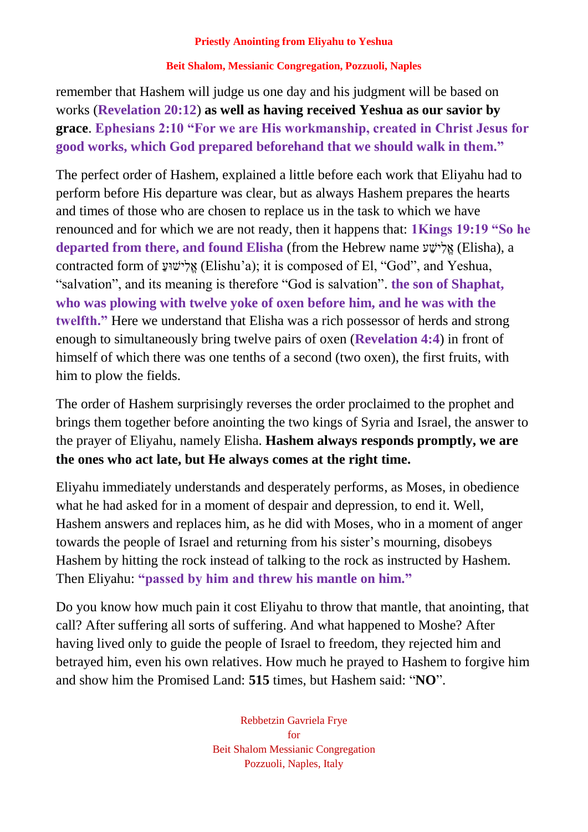## **Beit Shalom, Messianic Congregation, Pozzuoli, Naples**

remember that Hashem will judge us one day and his judgment will be based on works (**Revelation 20:12**) **as well as having received Yeshua as our savior by grace**. **Ephesians 2:10 "For we are His workmanship, created in Christ Jesus for good works, which God prepared beforehand that we should walk in them."**

The perfect order of Hashem, explained a little before each work that Eliyahu had to perform before His departure was clear, but as always Hashem prepares the hearts and times of those who are chosen to replace us in the task to which we have renounced and for which we are not ready, then it happens that: **1Kings 19:19 "So he departed from there, and found Elisha** (from the Hebrew name אֵלְישָׁע (Elisha), a contracted form of אֱלְישׁוּעַ (Elishu'a); it is composed of El, "God", and Yeshua, "salvation", and its meaning is therefore "God is salvation". **the son of Shaphat, who was plowing with twelve yoke of oxen before him, and he was with the twelfth."** Here we understand that Elisha was a rich possessor of herds and strong enough to simultaneously bring twelve pairs of oxen (**Revelation 4:4**) in front of himself of which there was one tenths of a second (two oxen), the first fruits, with him to plow the fields.

The order of Hashem surprisingly reverses the order proclaimed to the prophet and brings them together before anointing the two kings of Syria and Israel, the answer to the prayer of Eliyahu, namely Elisha. **Hashem always responds promptly, we are the ones who act late, but He always comes at the right time.**

Eliyahu immediately understands and desperately performs, as Moses, in obedience what he had asked for in a moment of despair and depression, to end it. Well, Hashem answers and replaces him, as he did with Moses, who in a moment of anger towards the people of Israel and returning from his sister's mourning, disobeys Hashem by hitting the rock instead of talking to the rock as instructed by Hashem. Then Eliyahu: **"passed by him and threw his mantle on him."**

Do you know how much pain it cost Eliyahu to throw that mantle, that anointing, that call? After suffering all sorts of suffering. And what happened to Moshe? After having lived only to guide the people of Israel to freedom, they rejected him and betrayed him, even his own relatives. How much he prayed to Hashem to forgive him and show him the Promised Land: **515** times, but Hashem said: "**NO**".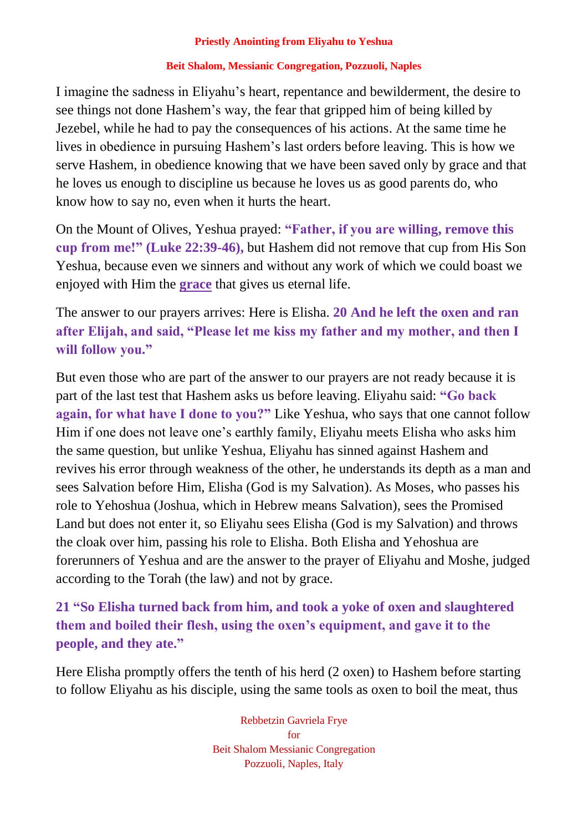## **Beit Shalom, Messianic Congregation, Pozzuoli, Naples**

I imagine the sadness in Eliyahu's heart, repentance and bewilderment, the desire to see things not done Hashem's way, the fear that gripped him of being killed by Jezebel, while he had to pay the consequences of his actions. At the same time he lives in obedience in pursuing Hashem's last orders before leaving. This is how we serve Hashem, in obedience knowing that we have been saved only by grace and that he loves us enough to discipline us because he loves us as good parents do, who know how to say no, even when it hurts the heart.

On the Mount of Olives, Yeshua prayed: **"Father, if you are willing, remove this cup from me!" (Luke 22:39-46),** but Hashem did not remove that cup from His Son Yeshua, because even we sinners and without any work of which we could boast we enjoyed with Him the **grace** that gives us eternal life.

The answer to our prayers arrives: Here is Elisha. **20 And he left the oxen and ran after Elijah, and said, "Please let me kiss my father and my mother, and then I will follow you."**

But even those who are part of the answer to our prayers are not ready because it is part of the last test that Hashem asks us before leaving. Eliyahu said: **"Go back again, for what have I done to you?"** Like Yeshua, who says that one cannot follow Him if one does not leave one's earthly family, Eliyahu meets Elisha who asks him the same question, but unlike Yeshua, Eliyahu has sinned against Hashem and revives his error through weakness of the other, he understands its depth as a man and sees Salvation before Him, Elisha (God is my Salvation). As Moses, who passes his role to Yehoshua (Joshua, which in Hebrew means Salvation), sees the Promised Land but does not enter it, so Eliyahu sees Elisha (God is my Salvation) and throws the cloak over him, passing his role to Elisha. Both Elisha and Yehoshua are forerunners of Yeshua and are the answer to the prayer of Eliyahu and Moshe, judged according to the Torah (the law) and not by grace.

**21 "So Elisha turned back from him, and took a yoke of oxen and slaughtered them and boiled their flesh, using the oxen's equipment, and gave it to the people, and they ate."**

Here Elisha promptly offers the tenth of his herd (2 oxen) to Hashem before starting to follow Eliyahu as his disciple, using the same tools as oxen to boil the meat, thus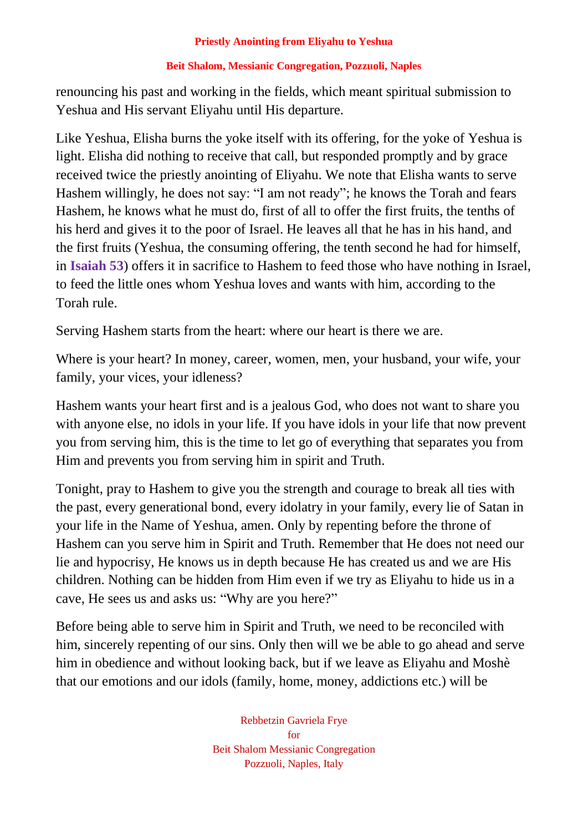## **Beit Shalom, Messianic Congregation, Pozzuoli, Naples**

renouncing his past and working in the fields, which meant spiritual submission to Yeshua and His servant Eliyahu until His departure.

Like Yeshua, Elisha burns the yoke itself with its offering, for the yoke of Yeshua is light. Elisha did nothing to receive that call, but responded promptly and by grace received twice the priestly anointing of Eliyahu. We note that Elisha wants to serve Hashem willingly, he does not say: "I am not ready"; he knows the Torah and fears Hashem, he knows what he must do, first of all to offer the first fruits, the tenths of his herd and gives it to the poor of Israel. He leaves all that he has in his hand, and the first fruits (Yeshua, the consuming offering, the tenth second he had for himself, in **Isaiah 53**) offers it in sacrifice to Hashem to feed those who have nothing in Israel, to feed the little ones whom Yeshua loves and wants with him, according to the Torah rule.

Serving Hashem starts from the heart: where our heart is there we are.

Where is your heart? In money, career, women, men, your husband, your wife, your family, your vices, your idleness?

Hashem wants your heart first and is a jealous God, who does not want to share you with anyone else, no idols in your life. If you have idols in your life that now prevent you from serving him, this is the time to let go of everything that separates you from Him and prevents you from serving him in spirit and Truth.

Tonight, pray to Hashem to give you the strength and courage to break all ties with the past, every generational bond, every idolatry in your family, every lie of Satan in your life in the Name of Yeshua, amen. Only by repenting before the throne of Hashem can you serve him in Spirit and Truth. Remember that He does not need our lie and hypocrisy, He knows us in depth because He has created us and we are His children. Nothing can be hidden from Him even if we try as Eliyahu to hide us in a cave, He sees us and asks us: "Why are you here?"

Before being able to serve him in Spirit and Truth, we need to be reconciled with him, sincerely repenting of our sins. Only then will we be able to go ahead and serve him in obedience and without looking back, but if we leave as Eliyahu and Moshè that our emotions and our idols (family, home, money, addictions etc.) will be